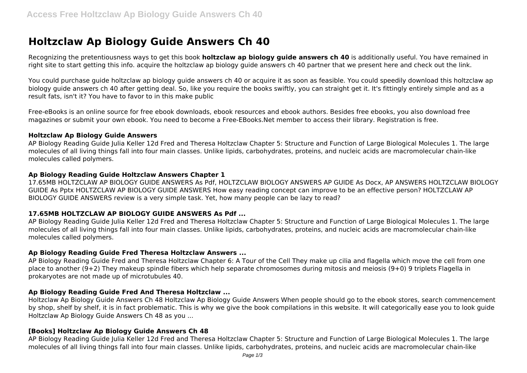# **Holtzclaw Ap Biology Guide Answers Ch 40**

Recognizing the pretentiousness ways to get this book **holtzclaw ap biology guide answers ch 40** is additionally useful. You have remained in right site to start getting this info. acquire the holtzclaw ap biology guide answers ch 40 partner that we present here and check out the link.

You could purchase guide holtzclaw ap biology guide answers ch 40 or acquire it as soon as feasible. You could speedily download this holtzclaw ap biology guide answers ch 40 after getting deal. So, like you require the books swiftly, you can straight get it. It's fittingly entirely simple and as a result fats, isn't it? You have to favor to in this make public

Free-eBooks is an online source for free ebook downloads, ebook resources and ebook authors. Besides free ebooks, you also download free magazines or submit your own ebook. You need to become a Free-EBooks.Net member to access their library. Registration is free.

#### **Holtzclaw Ap Biology Guide Answers**

AP Biology Reading Guide Julia Keller 12d Fred and Theresa Holtzclaw Chapter 5: Structure and Function of Large Biological Molecules 1. The large molecules of all living things fall into four main classes. Unlike lipids, carbohydrates, proteins, and nucleic acids are macromolecular chain-like molecules called polymers.

#### **Ap Biology Reading Guide Holtzclaw Answers Chapter 1**

17.65MB HOLTZCLAW AP BIOLOGY GUIDE ANSWERS As Pdf, HOLTZCLAW BIOLOGY ANSWERS AP GUIDE As Docx, AP ANSWERS HOLTZCLAW BIOLOGY GUIDE As Pptx HOLTZCLAW AP BIOLOGY GUIDE ANSWERS How easy reading concept can improve to be an effective person? HOLTZCLAW AP BIOLOGY GUIDE ANSWERS review is a very simple task. Yet, how many people can be lazy to read?

# **17.65MB HOLTZCLAW AP BIOLOGY GUIDE ANSWERS As Pdf ...**

AP Biology Reading Guide Julia Keller 12d Fred and Theresa Holtzclaw Chapter 5: Structure and Function of Large Biological Molecules 1. The large molecules of all living things fall into four main classes. Unlike lipids, carbohydrates, proteins, and nucleic acids are macromolecular chain-like molecules called polymers.

#### **Ap Biology Reading Guide Fred Theresa Holtzclaw Answers ...**

AP Biology Reading Guide Fred and Theresa Holtzclaw Chapter 6: A Tour of the Cell They make up cilia and flagella which move the cell from one place to another (9+2) They makeup spindle fibers which help separate chromosomes during mitosis and meiosis (9+0) 9 triplets Flagella in prokaryotes are not made up of microtubules 40.

#### **Ap Biology Reading Guide Fred And Theresa Holtzclaw ...**

Holtzclaw Ap Biology Guide Answers Ch 48 Holtzclaw Ap Biology Guide Answers When people should go to the ebook stores, search commencement by shop, shelf by shelf, it is in fact problematic. This is why we give the book compilations in this website. It will categorically ease you to look guide Holtzclaw Ap Biology Guide Answers Ch 48 as you ...

#### **[Books] Holtzclaw Ap Biology Guide Answers Ch 48**

AP Biology Reading Guide Julia Keller 12d Fred and Theresa Holtzclaw Chapter 5: Structure and Function of Large Biological Molecules 1. The large molecules of all living things fall into four main classes. Unlike lipids, carbohydrates, proteins, and nucleic acids are macromolecular chain-like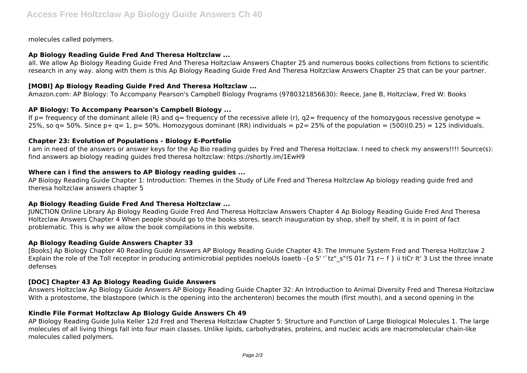molecules called polymers.

#### **Ap Biology Reading Guide Fred And Theresa Holtzclaw ...**

all. We allow Ap Biology Reading Guide Fred And Theresa Holtzclaw Answers Chapter 25 and numerous books collections from fictions to scientific research in any way. along with them is this Ap Biology Reading Guide Fred And Theresa Holtzclaw Answers Chapter 25 that can be your partner.

# **[MOBI] Ap Biology Reading Guide Fred And Theresa Holtzclaw ...**

Amazon.com: AP Biology: To Accompany Pearson's Campbell Biology Programs (9780321856630): Reece, Jane B, Holtzclaw, Fred W: Books

# **AP Biology: To Accompany Pearson's Campbell Biology ...**

If  $p =$  frequency of the dominant allele (R) and  $q =$  frequency of the recessive allele (r),  $q2 =$  frequency of the homozygous recessive genotype = 25%, so  $q= 50$ %. Since  $p+ q= 1$ ,  $p= 50$ %. Homozygous dominant (RR) individuals =  $p2= 25$ % of the population = (500)(0.25) = 125 individuals.

# **Chapter 23: Evolution of Populations - Biology E-Portfolio**

I am in need of the answers or answer keys for the Ap Bio reading guides by Fred and Theresa Holtzclaw. I need to check my answers!!!! Source(s): find answers ap biology reading guides fred theresa holtzclaw: https://shortly.im/1EwH9

# **Where can i find the answers to AP Biology reading guides ...**

AP Biology Reading Guide Chapter 1: Introduction: Themes in the Study of Life Fred and Theresa Holtzclaw Ap biology reading guide fred and theresa holtzclaw answers chapter 5

# **Ap Biology Reading Guide Fred And Theresa Holtzclaw ...**

JUNCTION Online Library Ap Biology Reading Guide Fred And Theresa Holtzclaw Answers Chapter 4 Ap Biology Reading Guide Fred And Theresa Holtzclaw Answers Chapter 4 When people should go to the books stores, search inauguration by shop, shelf by shelf, it is in point of fact problematic. This is why we allow the book compilations in this website.

# **Ap Biology Reading Guide Answers Chapter 33**

[Books] Ap Biology Chapter 40 Reading Guide Answers AP Biology Reading Guide Chapter 43: The Immune System Fred and Theresa Holtzclaw 2 Explain the role of the Toll receptor in producing antimicrobial peptides noeloUs loaetb -{o S' "tz" s"!S 01r 71 r~ f } ii tiCr It' 3 List the three innate defenses

# **[DOC] Chapter 43 Ap Biology Reading Guide Answers**

Answers Holtzclaw Ap Biology Guide Answers AP Biology Reading Guide Chapter 32: An Introduction to Animal Diversity Fred and Theresa Holtzclaw With a protostome, the blastopore (which is the opening into the archenteron) becomes the mouth (first mouth), and a second opening in the

# **Kindle File Format Holtzclaw Ap Biology Guide Answers Ch 49**

AP Biology Reading Guide Julia Keller 12d Fred and Theresa Holtzclaw Chapter 5: Structure and Function of Large Biological Molecules 1. The large molecules of all living things fall into four main classes. Unlike lipids, carbohydrates, proteins, and nucleic acids are macromolecular chain-like molecules called polymers.